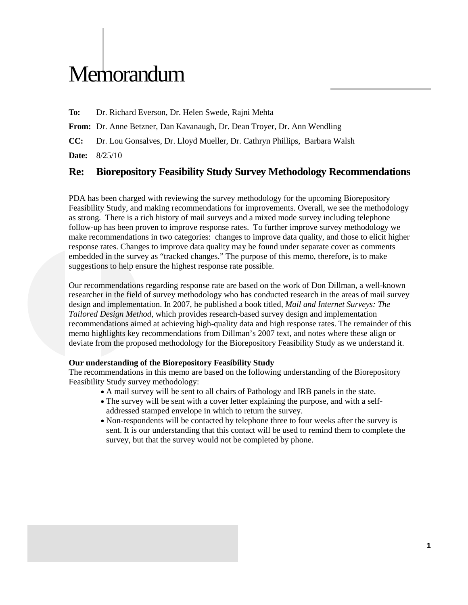# **Memorandum**

**To:** Dr. Richard Everson, Dr. Helen Swede, Rajni Mehta

**From:** Dr. Anne Betzner, Dan Kavanaugh, Dr. Dean Troyer, Dr. Ann Wendling

**CC:** Dr. Lou Gonsalves, Dr. Lloyd Mueller, Dr. Cathryn Phillips, Barbara Walsh

**Date:** 8/25/10

# **Re: Biorepository Feasibility Study Survey Methodology Recommendations**

PDA has been charged with reviewing the survey methodology for the upcoming Biorepository Feasibility Study, and making recommendations for improvements. Overall, we see the methodology as strong. There is a rich history of mail surveys and a mixed mode survey including telephone follow-up has been proven to improve response rates. To further improve survey methodology we make recommendations in two categories: changes to improve data quality, and those to elicit higher response rates. Changes to improve data quality may be found under separate cover as comments embedded in the survey as "tracked changes." The purpose of this memo, therefore, is to make suggestions to help ensure the highest response rate possible.

Our recommendations regarding response rate are based on the work of Don Dillman, a well-known researcher in the field of survey methodology who has conducted research in the areas of mail survey design and implementation. In 2007, he published a book titled, *Mail and Internet Surveys: The Tailored Design Method,* which provides research-based survey design and implementation recommendations aimed at achieving high-quality data and high response rates. The remainder of this memo highlights key recommendations from Dillman's 2007 text, and notes where these align or deviate from the proposed methodology for the Biorepository Feasibility Study as we understand it.

#### **Our understanding of the Biorepository Feasibility Study**

The recommendations in this memo are based on the following understanding of the Biorepository Feasibility Study survey methodology:

- A mail survey will be sent to all chairs of Pathology and IRB panels in the state.
- The survey will be sent with a cover letter explaining the purpose, and with a selfaddressed stamped envelope in which to return the survey.
- Non-respondents will be contacted by telephone three to four weeks after the survey is sent. It is our understanding that this contact will be used to remind them to complete the survey, but that the survey would not be completed by phone.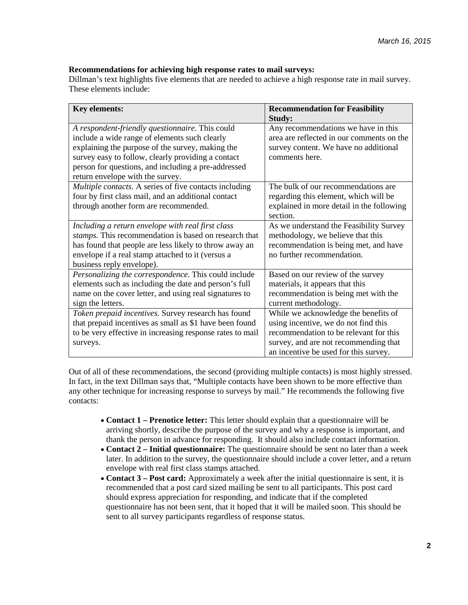### **Recommendations for achieving high response rates to mail surveys:**

Dillman's text highlights five elements that are needed to achieve a high response rate in mail survey. These elements include:

| <b>Key elements:</b>                                                                    | <b>Recommendation for Feasibility</b><br><b>Study:</b>                           |
|-----------------------------------------------------------------------------------------|----------------------------------------------------------------------------------|
| A respondent-friendly questionnaire. This could                                         | Any recommendations we have in this<br>area are reflected in our comments on the |
| include a wide range of elements such clearly                                           |                                                                                  |
| explaining the purpose of the survey, making the                                        | survey content. We have no additional<br>comments here.                          |
| survey easy to follow, clearly providing a contact                                      |                                                                                  |
| person for questions, and including a pre-addressed<br>return envelope with the survey. |                                                                                  |
| Multiple contacts. A series of five contacts including                                  | The bulk of our recommendations are                                              |
| four by first class mail, and an additional contact                                     | regarding this element, which will be                                            |
| through another form are recommended.                                                   | explained in more detail in the following                                        |
|                                                                                         | section.                                                                         |
| Including a return envelope with real first class                                       | As we understand the Feasibility Survey                                          |
| stamps. This recommendation is based on research that                                   | methodology, we believe that this                                                |
| has found that people are less likely to throw away an                                  | recommendation is being met, and have                                            |
| envelope if a real stamp attached to it (versus a                                       | no further recommendation.                                                       |
| business reply envelope).                                                               |                                                                                  |
| Personalizing the correspondence. This could include                                    | Based on our review of the survey                                                |
| elements such as including the date and person's full                                   | materials, it appears that this                                                  |
| name on the cover letter, and using real signatures to                                  | recommendation is being met with the                                             |
| sign the letters.                                                                       | current methodology.                                                             |
| Token prepaid incentives. Survey research has found                                     | While we acknowledge the benefits of                                             |
| that prepaid incentives as small as \$1 have been found                                 | using incentive, we do not find this                                             |
| to be very effective in increasing response rates to mail                               | recommendation to be relevant for this                                           |
| surveys.                                                                                | survey, and are not recommending that                                            |
|                                                                                         | an incentive be used for this survey.                                            |

Out of all of these recommendations, the second (providing multiple contacts) is most highly stressed. In fact, in the text Dillman says that, "Multiple contacts have been shown to be more effective than any other technique for increasing response to surveys by mail." He recommends the following five contacts:

- **Contact 1 – Prenotice letter:** This letter should explain that a questionnaire will be arriving shortly, describe the purpose of the survey and why a response is important, and thank the person in advance for responding. It should also include contact information.
- **Contact 2 – Initial questionnaire:** The questionnaire should be sent no later than a week later. In addition to the survey, the questionnaire should include a cover letter, and a return envelope with real first class stamps attached.
- **Contact 3 – Post card:** Approximately a week after the initial questionnaire is sent, it is recommended that a post card sized mailing be sent to all participants. This post card should express appreciation for responding, and indicate that if the completed questionnaire has not been sent, that it hoped that it will be mailed soon. This should be sent to all survey participants regardless of response status.